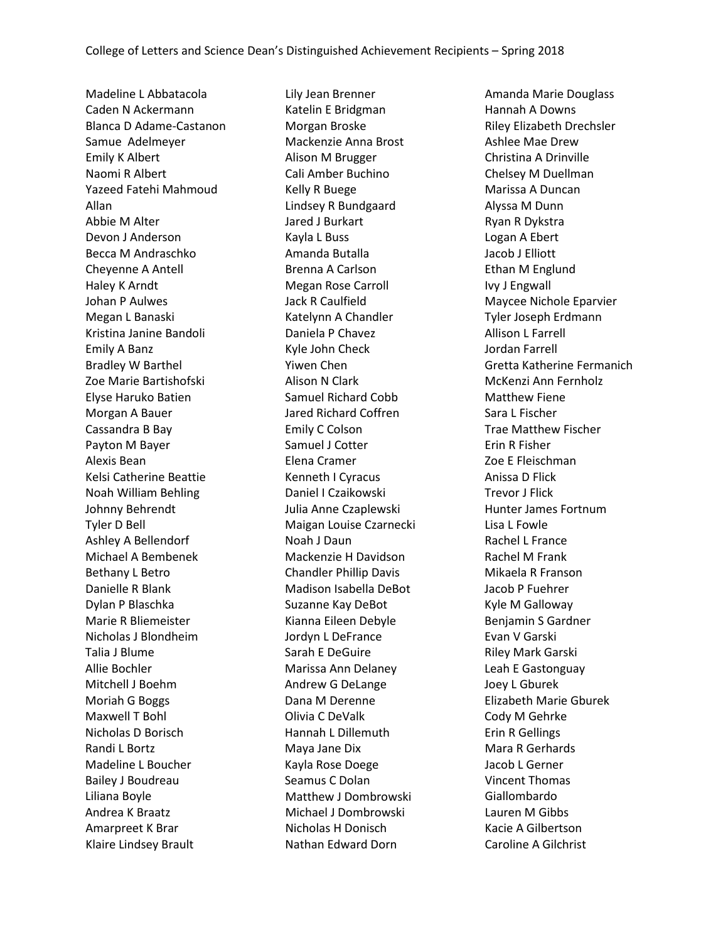Madeline L Abbatacola Caden N Ackermann Blanca D Adame-Castanon Samue Adelmeyer Emily K Albert Naomi R Albert Yazeed Fatehi Mahmoud Allan Abbie M Alter Devon J Anderson Becca M Andraschko Cheyenne A Antell Haley K Arndt Johan P Aulwes Megan L Banaski Kristina Janine Bandoli Emily A Banz Bradley W Barthel Zoe Marie Bartishofski Elyse Haruko Batien Morgan A Bauer Cassandra B Bay Payton M Bayer Alexis Bean Kelsi Catherine Beattie Noah William Behling Johnny Behrendt Tyler D Bell Ashley A Bellendorf Michael A Bembenek Bethany L Betro Danielle R Blank Dylan P Blaschka Marie R Bliemeister Nicholas J Blondheim Talia J Blume Allie Bochler Mitchell J Boehm Moriah G Boggs Maxwell T Bohl Nicholas D Borisch Randi L Bortz Madeline L Boucher Bailey J Boudreau Liliana Boyle Andrea K Braatz Amarpreet K Brar Klaire Lindsey Brault

Lily Jean Brenner Katelin E Bridgman Morgan Broske Mackenzie Anna Brost Alison M Brugger Cali Amber Buchino Kelly R Buege Lindsey R Bundgaard Jared J Burkart Kayla L Buss Amanda Butalla Brenna A Carlson Megan Rose Carroll Jack R Caulfield Katelynn A Chandler Daniela P Chavez Kyle John Check Yiwen Chen Alison N Clark Samuel Richard Cobb Jared Richard Coffren Emily C Colson Samuel J Cotter Elena Cramer Kenneth I Cyracus Daniel I Czaikowski Julia Anne Czaplewski Maigan Louise Czarnecki Noah J Daun Mackenzie H Davidson Chandler Phillip Davis Madison Isabella DeBot Suzanne Kay DeBot Kianna Eileen Debyle Jordyn L DeFrance Sarah E DeGuire Marissa Ann Delaney Andrew G DeLange Dana M Derenne Olivia C DeValk Hannah L Dillemuth Maya Jane Dix Kayla Rose Doege Seamus C Dolan Matthew J Dombrowski Michael J Dombrowski Nicholas H Donisch Nathan Edward Dorn

Amanda Marie Douglass Hannah A Downs Riley Elizabeth Drechsler Ashlee Mae Drew Christina A Drinville Chelsey M Duellman Marissa A Duncan Alyssa M Dunn Ryan R Dykstra Logan A Ebert Jacob J Elliott Ethan M Englund Ivy J Engwall Maycee Nichole Eparvier Tyler Joseph Erdmann Allison L Farrell Jordan Farrell Gretta Katherine Fermanich McKenzi Ann Fernholz Matthew Fiene Sara L Fischer Trae Matthew Fischer Erin R Fisher Zoe E Fleischman Anissa D Flick Trevor J Flick Hunter James Fortnum Lisa L Fowle Rachel L France Rachel M Frank Mikaela R Franson Jacob P Fuehrer Kyle M Galloway Benjamin S Gardner Evan V Garski Riley Mark Garski Leah E Gastonguay Joey L Gburek Elizabeth Marie Gburek Cody M Gehrke Erin R Gellings Mara R Gerhards Jacob L Gerner Vincent Thomas Giallombardo Lauren M Gibbs Kacie A Gilbertson Caroline A Gilchrist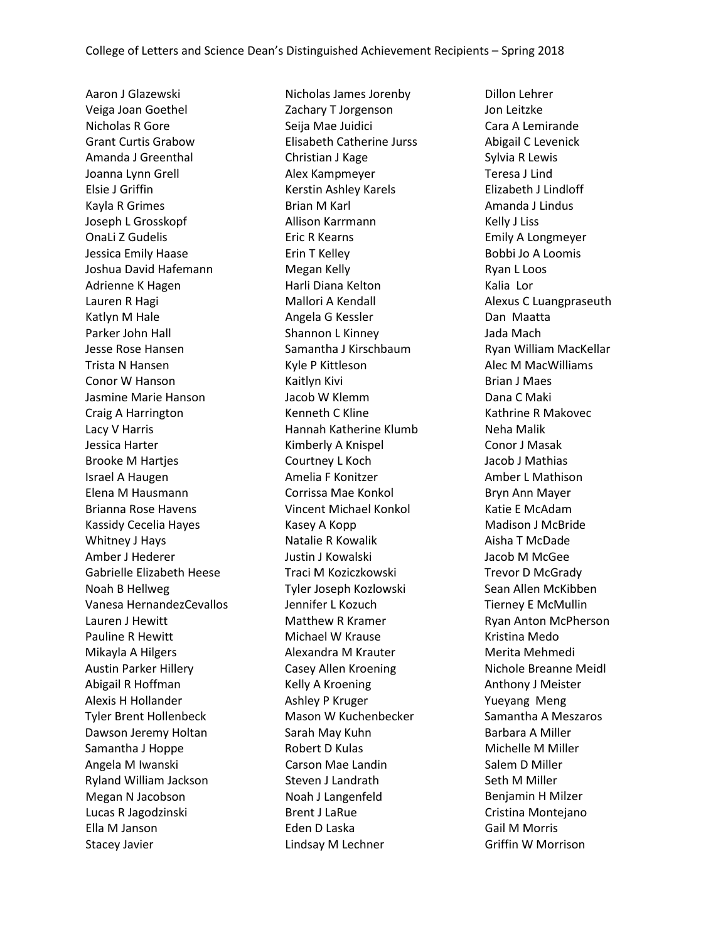Aaron J Glazewski Veiga Joan Goethel Nicholas R Gore Grant Curtis Grabow Amanda J Greenthal Joanna Lynn Grell Elsie J Griffin Kayla R Grimes Joseph L Grosskopf OnaLi Z Gudelis Jessica Emily Haase Joshua David Hafemann Adrienne K Hagen Lauren R Hagi Katlyn M Hale Parker John Hall Jesse Rose Hansen Trista N Hansen Conor W Hanson Jasmine Marie Hanson Craig A Harrington Lacy V Harris Jessica Harter Brooke M Hartjes Israel A Haugen Elena M Hausmann Brianna Rose Havens Kassidy Cecelia Hayes Whitney J Hays Amber J Hederer Gabrielle Elizabeth Heese Noah B Hellweg Vanesa HernandezCevallos Lauren J Hewitt Pauline R Hewitt Mikayla A Hilgers Austin Parker Hillery Abigail R Hoffman Alexis H Hollander Tyler Brent Hollenbeck Dawson Jeremy Holtan Samantha J Hoppe Angela M Iwanski Ryland William Jackson Megan N Jacobson Lucas R Jagodzinski Ella M Janson Stacey Javier

Nicholas James Jorenby Zachary T Jorgenson Seija Mae Juidici Elisabeth Catherine Jurss Christian J Kage Alex Kampmeyer Kerstin Ashley Karels Brian M Karl Allison Karrmann Eric R Kearns Erin T Kelley Megan Kelly Harli Diana Kelton Mallori A Kendall Angela G Kessler Shannon L Kinney Samantha J Kirschbaum Kyle P Kittleson Kaitlyn Kivi Jacob W Klemm Kenneth C Kline Hannah Katherine Klumb Kimberly A Knispel Courtney L Koch Amelia F Konitzer Corrissa Mae Konkol Vincent Michael Konkol Kasey A Kopp Natalie R Kowalik Justin J Kowalski Traci M Koziczkowski Tyler Joseph Kozlowski Jennifer L Kozuch Matthew R Kramer Michael W Krause Alexandra M Krauter Casey Allen Kroening Kelly A Kroening Ashley P Kruger Mason W Kuchenbecker Sarah May Kuhn Robert D Kulas Carson Mae Landin Steven J Landrath Noah J Langenfeld Brent J LaRue Eden D Laska Lindsay M Lechner

Dillon Lehrer Jon Leitzke Cara A Lemirande Abigail C Levenick Sylvia R Lewis Teresa J Lind Elizabeth J Lindloff Amanda J Lindus Kelly J Liss Emily A Longmeyer Bobbi Jo A Loomis Ryan L Loos Kalia Lor Alexus C Luangpraseuth Dan Maatta Jada Mach Ryan William MacKellar Alec M MacWilliams Brian J Maes Dana C Maki Kathrine R Makovec Neha Malik Conor J Masak Jacob J Mathias Amber L Mathison Bryn Ann Mayer Katie E McAdam Madison J McBride Aisha T McDade Jacob M McGee Trevor D McGrady Sean Allen McKibben Tierney E McMullin Ryan Anton McPherson Kristina Medo Merita Mehmedi Nichole Breanne Meidl Anthony J Meister Yueyang Meng Samantha A Meszaros Barbara A Miller Michelle M Miller Salem D Miller Seth M Miller Benjamin H Milzer Cristina Montejano Gail M Morris Griffin W Morrison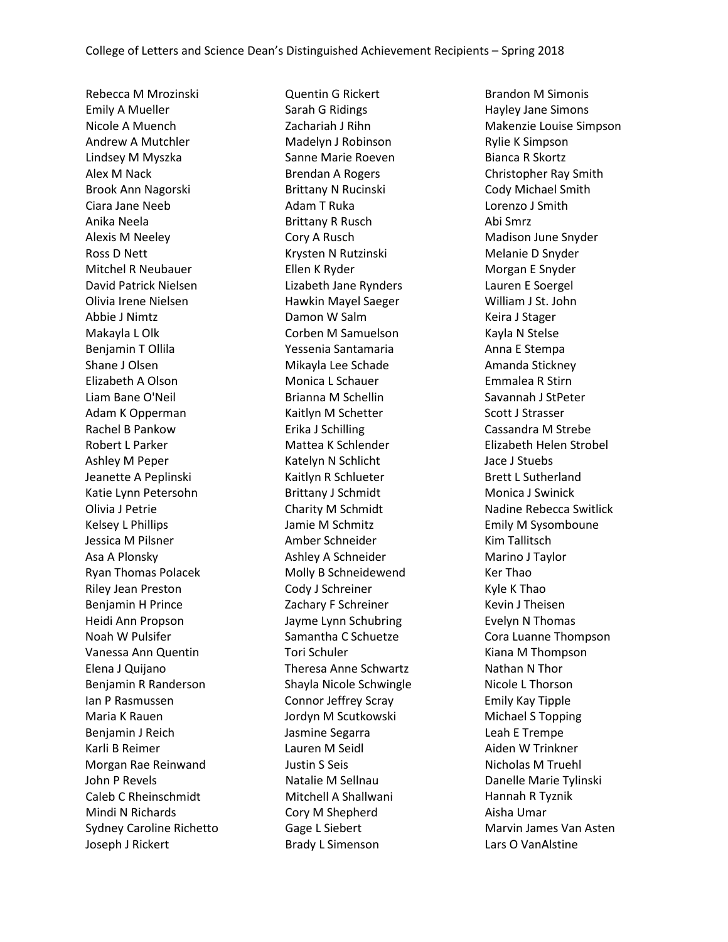Rebecca M Mrozinski Emily A Mueller Nicole A Muench Andrew A Mutchler Lindsey M Myszka Alex M Nack Brook Ann Nagorski Ciara Jane Neeb Anika Neela Alexis M Neeley Ross D Nett Mitchel R Neubauer David Patrick Nielsen Olivia Irene Nielsen Abbie J Nimtz Makayla L Olk Benjamin T Ollila Shane J Olsen Elizabeth A Olson Liam Bane O'Neil Adam K Opperman Rachel B Pankow Robert L Parker Ashley M Peper Jeanette A Peplinski Katie Lynn Petersohn Olivia J Petrie Kelsey L Phillips Jessica M Pilsner Asa A Plonsky Ryan Thomas Polacek Riley Jean Preston Benjamin H Prince Heidi Ann Propson Noah W Pulsifer Vanessa Ann Quentin Elena J Quijano Benjamin R Randerson Ian P Rasmussen Maria K Rauen Benjamin J Reich Karli B Reimer Morgan Rae Reinwand John P Revels Caleb C Rheinschmidt Mindi N Richards Sydney Caroline Richetto Joseph J Rickert

Quentin G Rickert Sarah G Ridings Zachariah J Rihn Madelyn J Robinson Sanne Marie Roeven Brendan A Rogers Brittany N Rucinski Adam T Ruka Brittany R Rusch Cory A Rusch Krysten N Rutzinski Ellen K Ryder Lizabeth Jane Rynders Hawkin Mayel Saeger Damon W Salm Corben M Samuelson Yessenia Santamaria Mikayla Lee Schade Monica L Schauer Brianna M Schellin Kaitlyn M Schetter Erika J Schilling Mattea K Schlender Katelyn N Schlicht Kaitlyn R Schlueter Brittany J Schmidt Charity M Schmidt Jamie M Schmitz Amber Schneider Ashley A Schneider Molly B Schneidewend Cody J Schreiner Zachary F Schreiner Jayme Lynn Schubring Samantha C Schuetze Tori Schuler Theresa Anne Schwartz Shayla Nicole Schwingle Connor Jeffrey Scray Jordyn M Scutkowski Jasmine Segarra Lauren M Seidl Justin S Seis Natalie M Sellnau Mitchell A Shallwani Cory M Shepherd Gage L Siebert Brady L Simenson

Brandon M Simonis Hayley Jane Simons Makenzie Louise Simpson Rylie K Simpson Bianca R Skortz Christopher Ray Smith Cody Michael Smith Lorenzo J Smith Abi Smrz Madison June Snyder Melanie D Snyder Morgan E Snyder Lauren E Soergel William J St. John Keira J Stager Kayla N Stelse Anna E Stempa Amanda Stickney Emmalea R Stirn Savannah J StPeter Scott J Strasser Cassandra M Strebe Elizabeth Helen Strobel Jace J Stuebs Brett L Sutherland Monica J Swinick Nadine Rebecca Switlick Emily M Sysomboune Kim Tallitsch Marino J Taylor Ker Thao Kyle K Thao Kevin J Theisen Evelyn N Thomas Cora Luanne Thompson Kiana M Thompson Nathan N Thor Nicole L Thorson Emily Kay Tipple Michael S Topping Leah E Trempe Aiden W Trinkner Nicholas M Truehl Danelle Marie Tylinski Hannah R Tyznik Aisha Umar Marvin James Van Asten Lars O VanAlstine